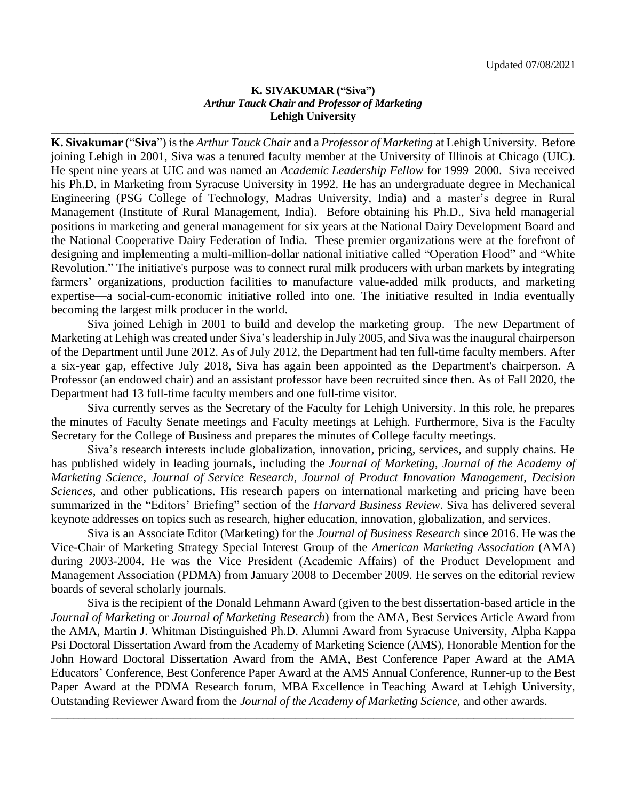### **K. SIVAKUMAR ("Siva")** *Arthur Tauck Chair and Professor of Marketing* **Lehigh University**

\_\_\_\_\_\_\_\_\_\_\_\_\_\_\_\_\_\_\_\_\_\_\_\_\_\_\_\_\_\_\_\_\_\_\_\_\_\_\_\_\_\_\_\_\_\_\_\_\_\_\_\_\_\_\_\_\_\_\_\_\_\_\_\_\_\_\_\_\_\_\_\_\_\_\_\_\_\_\_\_\_\_\_\_\_\_\_\_\_\_\_\_\_\_

**K. Sivakumar** ("**Siva**") is the *Arthur Tauck Chair* and a *Professor of Marketing* at Lehigh University. Before joining Lehigh in 2001, Siva was a tenured faculty member at the University of Illinois at Chicago (UIC). He spent nine years at UIC and was named an *Academic Leadership Fellow* for 1999–2000. Siva received his Ph.D. in Marketing from Syracuse University in 1992. He has an undergraduate degree in Mechanical Engineering (PSG College of Technology, Madras University, India) and a master's degree in Rural Management (Institute of Rural Management, India). Before obtaining his Ph.D., Siva held managerial positions in marketing and general management for six years at the National Dairy Development Board and the National Cooperative Dairy Federation of India. These premier organizations were at the forefront of designing and implementing a multi-million-dollar national initiative called "Operation Flood" and "White Revolution." The initiative's purpose was to connect rural milk producers with urban markets by integrating farmers' organizations, production facilities to manufacture value-added milk products, and marketing expertise—a social-cum-economic initiative rolled into one. The initiative resulted in India eventually becoming the largest milk producer in the world.

Siva joined Lehigh in 2001 to build and develop the marketing group. The new Department of Marketing at Lehigh was created under Siva's leadership in July 2005, and Siva was the inaugural chairperson of the Department until June 2012. As of July 2012, the Department had ten full-time faculty members. After a six-year gap, effective July 2018, Siva has again been appointed as the Department's chairperson. A Professor (an endowed chair) and an assistant professor have been recruited since then. As of Fall 2020, the Department had 13 full-time faculty members and one full-time visitor.

Siva currently serves as the Secretary of the Faculty for Lehigh University. In this role, he prepares the minutes of Faculty Senate meetings and Faculty meetings at Lehigh. Furthermore, Siva is the Faculty Secretary for the College of Business and prepares the minutes of College faculty meetings.

Siva's research interests include globalization, innovation, pricing, services, and supply chains. He has published widely in leading journals, including the *Journal of Marketing*, *Journal of the Academy of Marketing Science*, *Journal of Service Research*, *Journal of Product Innovation Management*, *Decision Sciences*, and other publications. His research papers on international marketing and pricing have been summarized in the "Editors' Briefing" section of the *Harvard Business Review*. Siva has delivered several keynote addresses on topics such as research, higher education, innovation, globalization, and services.

Siva is an Associate Editor (Marketing) for the *Journal of Business Research* since 2016. He was the Vice-Chair of Marketing Strategy Special Interest Group of the *American Marketing Association* (AMA) during 2003-2004. He was the Vice President (Academic Affairs) of the Product Development and Management Association (PDMA) from January 2008 to December 2009. He serves on the editorial review boards of several scholarly journals.

Siva is the recipient of the Donald Lehmann Award (given to the best dissertation-based article in the *Journal of Marketing* or *Journal of Marketing Research*) from the AMA, Best Services Article Award from the AMA, Martin J. Whitman Distinguished Ph.D. Alumni Award from Syracuse University, Alpha Kappa Psi Doctoral Dissertation Award from the Academy of Marketing Science (AMS), Honorable Mention for the John Howard Doctoral Dissertation Award from the AMA, Best Conference Paper Award at the AMA Educators' Conference, Best Conference Paper Award at the AMS Annual Conference, Runner-up to the Best Paper Award at the PDMA Research forum, MBA Excellence in Teaching Award at Lehigh University, Outstanding Reviewer Award from the *Journal of the Academy of Marketing Science*, and other awards.

\_\_\_\_\_\_\_\_\_\_\_\_\_\_\_\_\_\_\_\_\_\_\_\_\_\_\_\_\_\_\_\_\_\_\_\_\_\_\_\_\_\_\_\_\_\_\_\_\_\_\_\_\_\_\_\_\_\_\_\_\_\_\_\_\_\_\_\_\_\_\_\_\_\_\_\_\_\_\_\_\_\_\_\_\_\_\_\_\_\_\_\_\_\_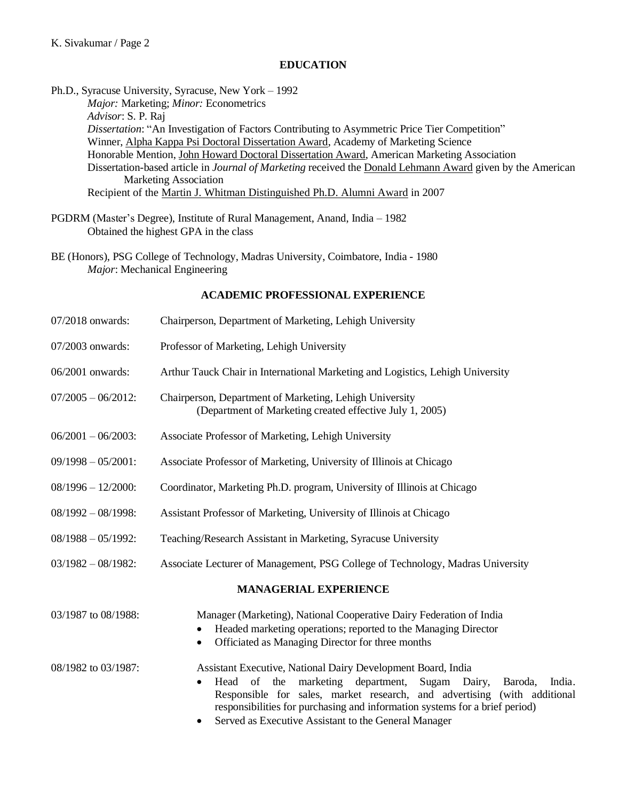## **EDUCATION**

Ph.D., Syracuse University, Syracuse, New York – 1992

*Major:* Marketing; *Minor:* Econometrics *Advisor*: S. P. Raj *Dissertation*: "An Investigation of Factors Contributing to Asymmetric Price Tier Competition" Winner, Alpha Kappa Psi Doctoral Dissertation Award, Academy of Marketing Science Honorable Mention, John Howard Doctoral Dissertation Award, American Marketing Association Dissertation-based article in *Journal of Marketing* received the Donald Lehmann Award given by the American Marketing Association Recipient of the Martin J. Whitman Distinguished Ph.D. Alumni Award in 2007

- PGDRM (Master's Degree), Institute of Rural Management, Anand, India 1982 Obtained the highest GPA in the class
- BE (Honors), PSG College of Technology, Madras University, Coimbatore, India 1980 *Major*: Mechanical Engineering

## **ACADEMIC PROFESSIONAL EXPERIENCE**

07/2018 onwards: Chairperson, Department of Marketing, Lehigh University 07/2003 onwards: Professor of Marketing, Lehigh University 06/2001 onwards: Arthur Tauck Chair in International Marketing and Logistics, Lehigh University 07/2005 – 06/2012: Chairperson, Department of Marketing, Lehigh University (Department of Marketing created effective July 1, 2005) 06/2001 – 06/2003: Associate Professor of Marketing, Lehigh University 09/1998 – 05/2001: Associate Professor of Marketing, University of Illinois at Chicago 08/1996 – 12/2000: Coordinator, Marketing Ph.D. program, University of Illinois at Chicago 08/1992 – 08/1998: Assistant Professor of Marketing, University of Illinois at Chicago 08/1988 – 05/1992: Teaching/Research Assistant in Marketing, Syracuse University 03/1982 – 08/1982: Associate Lecturer of Management, PSG College of Technology, Madras University **MANAGERIAL EXPERIENCE** 03/1987 to 08/1988: Manager (Marketing), National Cooperative Dairy Federation of India • Headed marketing operations; reported to the Managing Director • Officiated as Managing Director for three months 08/1982 to 03/1987: Assistant Executive, National Dairy Development Board, India • Head of the marketing department, Sugam Dairy, Baroda, India. Responsible for sales, market research, and advertising (with additional responsibilities for purchasing and information systems for a brief period) • Served as Executive Assistant to the General Manager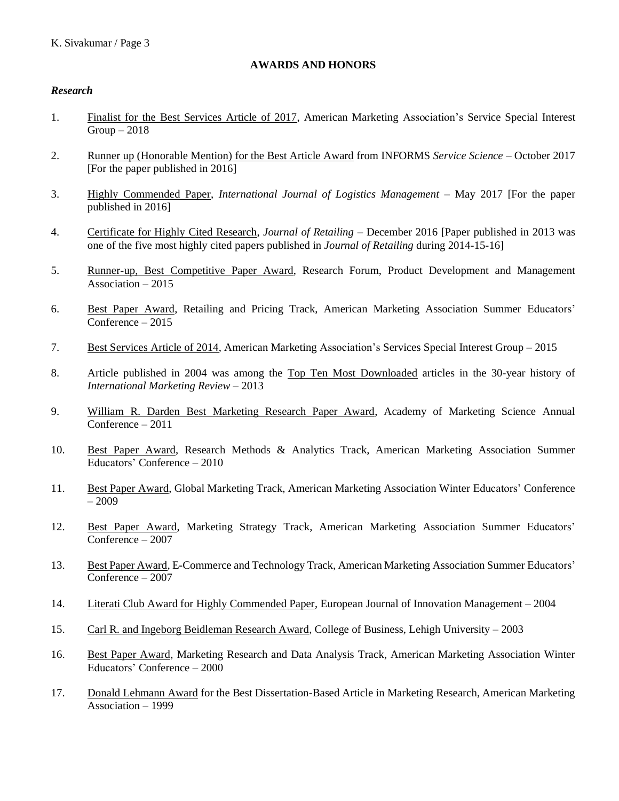## **AWARDS AND HONORS**

### *Research*

- 1. Finalist for the Best Services Article of 2017, American Marketing Association's Service Special Interest  $Group-2018$
- 2. Runner up (Honorable Mention) for the Best Article Award from INFORMS *Service Science* October 2017 [For the paper published in 2016]
- 3. Highly Commended Paper, *International Journal of Logistics Management* May 2017 [For the paper published in 2016]
- 4. Certificate for Highly Cited Research, *Journal of Retailing* December 2016 [Paper published in 2013 was one of the five most highly cited papers published in *Journal of Retailing* during 2014-15-16]
- 5. Runner-up, Best Competitive Paper Award, Research Forum, Product Development and Management Association – 2015
- 6. Best Paper Award, Retailing and Pricing Track, American Marketing Association Summer Educators' Conference – 2015
- 7. Best Services Article of 2014, American Marketing Association's Services Special Interest Group 2015
- 8. Article published in 2004 was among the Top Ten Most Downloaded articles in the 30-year history of *International Marketing Review* – 2013
- 9. William R. Darden Best Marketing Research Paper Award, Academy of Marketing Science Annual Conference – 2011
- 10. Best Paper Award, Research Methods & Analytics Track, American Marketing Association Summer Educators' Conference – 2010
- 11. Best Paper Award, Global Marketing Track, American Marketing Association Winter Educators' Conference – 2009
- 12. Best Paper Award, Marketing Strategy Track, American Marketing Association Summer Educators' Conference – 2007
- 13. Best Paper Award, E-Commerce and Technology Track, American Marketing Association Summer Educators' Conference – 2007
- 14. Literati Club Award for Highly Commended Paper, European Journal of Innovation Management 2004
- 15. Carl R. and Ingeborg Beidleman Research Award, College of Business, Lehigh University 2003
- 16. Best Paper Award, Marketing Research and Data Analysis Track, American Marketing Association Winter Educators' Conference – 2000
- 17. Donald Lehmann Award for the Best Dissertation-Based Article in Marketing Research, American Marketing Association – 1999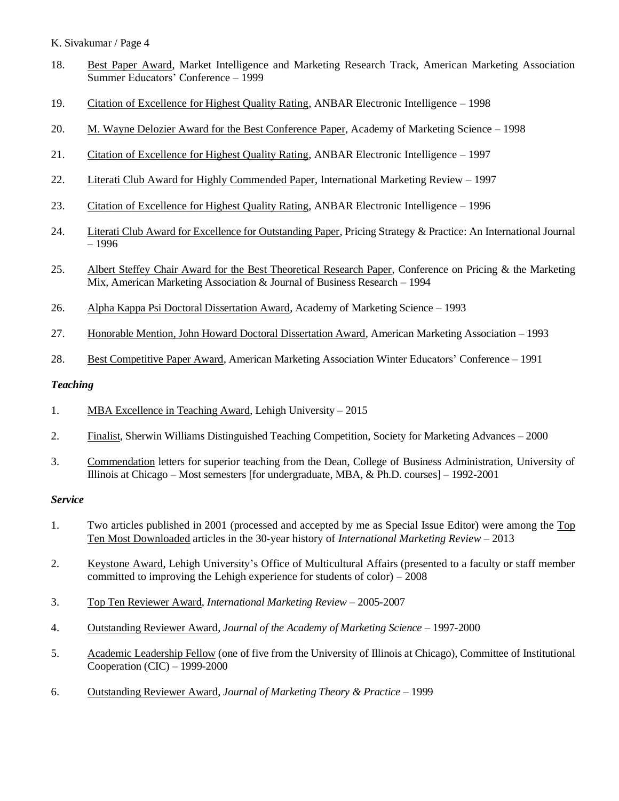- 18. Best Paper Award, Market Intelligence and Marketing Research Track, American Marketing Association Summer Educators' Conference – 1999
- 19. Citation of Excellence for Highest Quality Rating, ANBAR Electronic Intelligence 1998
- 20. M. Wayne Delozier Award for the Best Conference Paper, Academy of Marketing Science 1998
- 21. Citation of Excellence for Highest Quality Rating, ANBAR Electronic Intelligence *–* 1997
- 22. Literati Club Award for Highly Commended Paper, International Marketing Review 1997
- 23. Citation of Excellence for Highest Quality Rating, ANBAR Electronic Intelligence 1996
- 24. Literati Club Award for Excellence for Outstanding Paper, Pricing Strategy & Practice: An International Journal – 1996
- 25. Albert Steffey Chair Award for the Best Theoretical Research Paper, Conference on Pricing & the Marketing Mix, American Marketing Association & Journal of Business Research – 1994
- 26. Alpha Kappa Psi Doctoral Dissertation Award, Academy of Marketing Science 1993
- 27. Honorable Mention, John Howard Doctoral Dissertation Award, American Marketing Association 1993
- 28. Best Competitive Paper Award, American Marketing Association Winter Educators' Conference 1991

### *Teaching*

- 1. MBA Excellence in Teaching Award, Lehigh University 2015
- 2. Finalist, Sherwin Williams Distinguished Teaching Competition, Society for Marketing Advances 2000
- 3. Commendation letters for superior teaching from the Dean, College of Business Administration, University of Illinois at Chicago – Most semesters [for undergraduate, MBA, & Ph.D. courses] – 1992-2001

### *Service*

- 1. Two articles published in 2001 (processed and accepted by me as Special Issue Editor) were among the Top Ten Most Downloaded articles in the 30-year history of *International Marketing Review* – 2013
- 2. Keystone Award, Lehigh University's Office of Multicultural Affairs (presented to a faculty or staff member committed to improving the Lehigh experience for students of color) – 2008
- 3. Top Ten Reviewer Award, *International Marketing Review* 2005-2007
- 4. Outstanding Reviewer Award, *Journal of the Academy of Marketing Science* 1997-2000
- 5. Academic Leadership Fellow (one of five from the University of Illinois at Chicago), Committee of Institutional Cooperation (CIC) – 1999-2000
- 6. Outstanding Reviewer Award, *Journal of Marketing Theory & Practice* 1999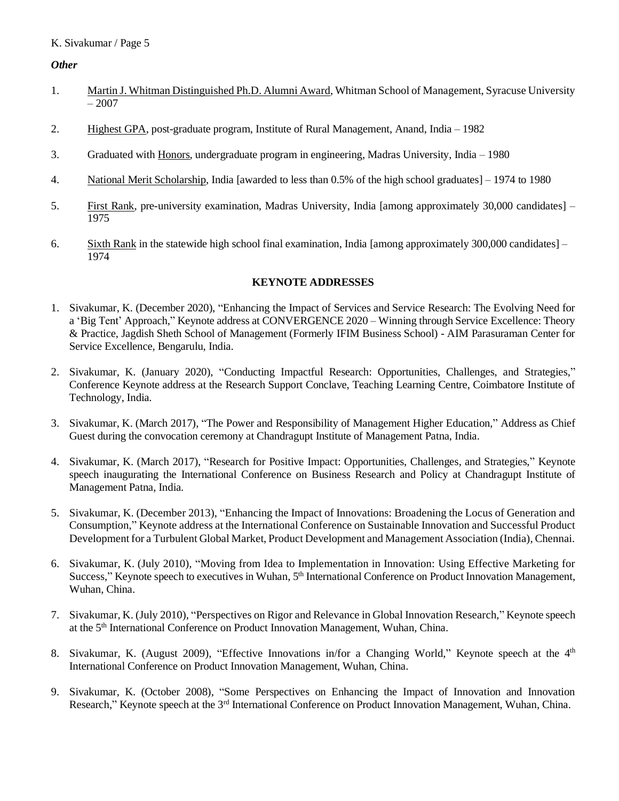## *Other*

- 1. Martin J. Whitman Distinguished Ph.D. Alumni Award, Whitman School of Management, Syracuse University  $-2007$
- 2. Highest GPA, post-graduate program, Institute of Rural Management, Anand, India 1982
- 3. Graduated with Honors, undergraduate program in engineering, Madras University, India 1980
- 4. National Merit Scholarship, India [awarded to less than 0.5% of the high school graduates] 1974 to 1980
- 5. First Rank, pre-university examination, Madras University, India [among approximately 30,000 candidates] 1975
- 6. Sixth Rank in the statewide high school final examination, India [among approximately 300,000 candidates] 1974

### **KEYNOTE ADDRESSES**

- 1. Sivakumar, K. (December 2020), "Enhancing the Impact of Services and Service Research: The Evolving Need for a 'Big Tent' Approach," Keynote address at CONVERGENCE 2020 – Winning through Service Excellence: Theory & Practice, Jagdish Sheth School of Management (Formerly IFIM Business School) - AIM Parasuraman Center for Service Excellence, Bengarulu, India.
- 2. Sivakumar, K. (January 2020), "Conducting Impactful Research: Opportunities, Challenges, and Strategies," Conference Keynote address at the Research Support Conclave, Teaching Learning Centre, Coimbatore Institute of Technology, India.
- 3. Sivakumar, K. (March 2017), "The Power and Responsibility of Management Higher Education," Address as Chief Guest during the convocation ceremony at Chandragupt Institute of Management Patna, India.
- 4. Sivakumar, K. (March 2017), "Research for Positive Impact: Opportunities, Challenges, and Strategies," Keynote speech inaugurating the International Conference on Business Research and Policy at Chandragupt Institute of Management Patna, India.
- 5. Sivakumar, K. (December 2013), "Enhancing the Impact of Innovations: Broadening the Locus of Generation and Consumption," Keynote address at the International Conference on Sustainable Innovation and Successful Product Development for a Turbulent Global Market, Product Development and Management Association (India), Chennai.
- 6. Sivakumar, K. (July 2010), "Moving from Idea to Implementation in Innovation: Using Effective Marketing for Success," Keynote speech to executives in Wuhan, 5<sup>th</sup> International Conference on Product Innovation Management, Wuhan, China.
- 7. Sivakumar, K. (July 2010), "Perspectives on Rigor and Relevance in Global Innovation Research," Keynote speech at the 5<sup>th</sup> International Conference on Product Innovation Management, Wuhan, China.
- 8. Sivakumar, K. (August 2009), "Effective Innovations in/for a Changing World," Keynote speech at the 4<sup>th</sup> International Conference on Product Innovation Management, Wuhan, China.
- 9. Sivakumar, K. (October 2008), "Some Perspectives on Enhancing the Impact of Innovation and Innovation Research," Keynote speech at the 3<sup>rd</sup> International Conference on Product Innovation Management, Wuhan, China.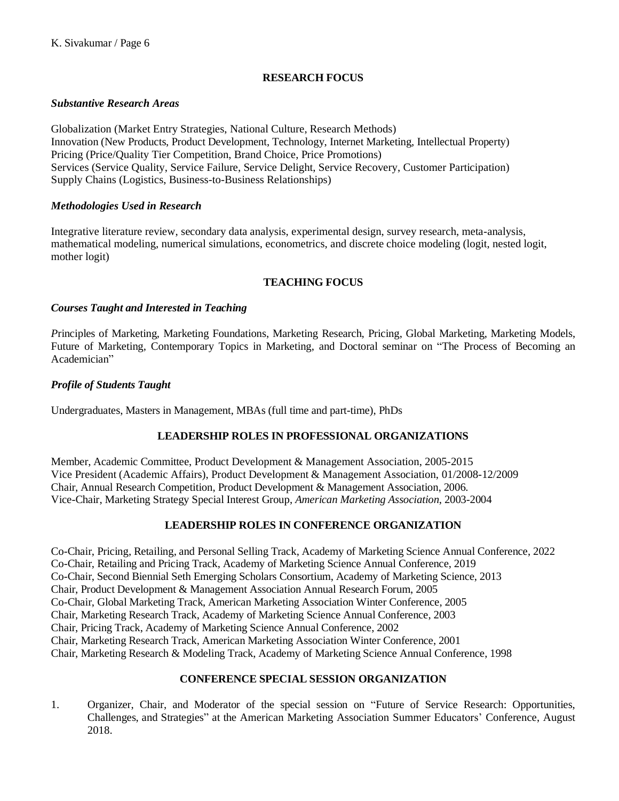## **RESEARCH FOCUS**

## *Substantive Research Areas*

Globalization (Market Entry Strategies, National Culture, Research Methods) Innovation (New Products, Product Development, Technology, Internet Marketing, Intellectual Property) Pricing (Price/Quality Tier Competition, Brand Choice, Price Promotions) Services (Service Quality, Service Failure, Service Delight, Service Recovery, Customer Participation) Supply Chains (Logistics, Business-to-Business Relationships)

## *Methodologies Used in Research*

Integrative literature review, secondary data analysis, experimental design, survey research, meta-analysis, mathematical modeling, numerical simulations, econometrics, and discrete choice modeling (logit, nested logit, mother logit)

## **TEACHING FOCUS**

## *Courses Taught and Interested in Teaching*

*P*rinciples of Marketing, Marketing Foundations, Marketing Research, Pricing, Global Marketing, Marketing Models, Future of Marketing, Contemporary Topics in Marketing, and Doctoral seminar on "The Process of Becoming an Academician"

## *Profile of Students Taught*

Undergraduates, Masters in Management, MBAs (full time and part-time), PhDs

## **LEADERSHIP ROLES IN PROFESSIONAL ORGANIZATIONS**

Member, Academic Committee, Product Development & Management Association, 2005-2015 Vice President (Academic Affairs), Product Development & Management Association, 01/2008-12/2009 Chair, Annual Research Competition, Product Development & Management Association, 2006. Vice-Chair, Marketing Strategy Special Interest Group, *American Marketing Association*, 2003-2004

## **LEADERSHIP ROLES IN CONFERENCE ORGANIZATION**

Co-Chair, Pricing, Retailing, and Personal Selling Track, Academy of Marketing Science Annual Conference, 2022 Co-Chair, Retailing and Pricing Track, Academy of Marketing Science Annual Conference, 2019 Co-Chair, Second Biennial Seth Emerging Scholars Consortium, Academy of Marketing Science, 2013 Chair, Product Development & Management Association Annual Research Forum, 2005 Co-Chair, Global Marketing Track, American Marketing Association Winter Conference, 2005 Chair, Marketing Research Track, Academy of Marketing Science Annual Conference, 2003 Chair, Pricing Track, Academy of Marketing Science Annual Conference, 2002 Chair, Marketing Research Track, American Marketing Association Winter Conference, 2001 Chair, Marketing Research & Modeling Track, Academy of Marketing Science Annual Conference, 1998

## **CONFERENCE SPECIAL SESSION ORGANIZATION**

1. Organizer, Chair, and Moderator of the special session on "Future of Service Research: Opportunities, Challenges, and Strategies" at the American Marketing Association Summer Educators' Conference, August 2018.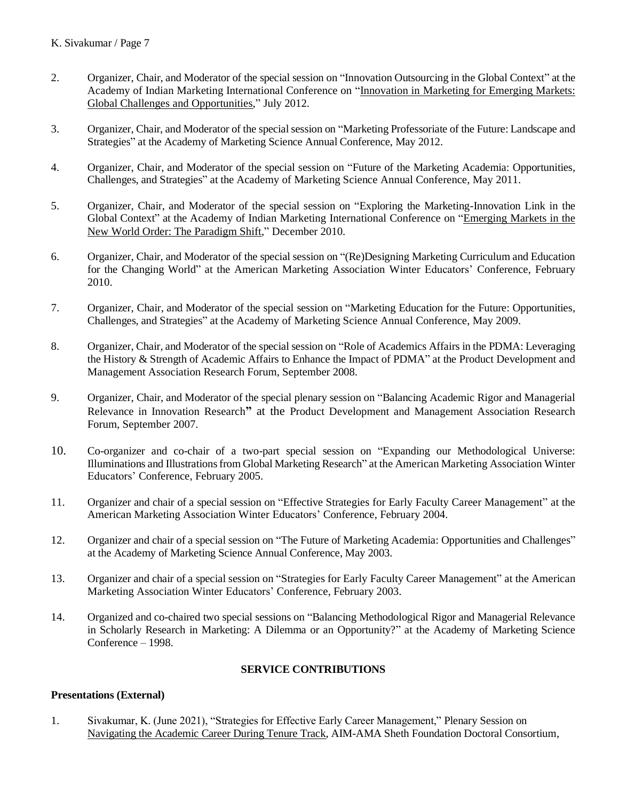- 2. Organizer, Chair, and Moderator of the special session on "Innovation Outsourcing in the Global Context" at the Academy of Indian Marketing International Conference on "Innovation in Marketing for Emerging Markets: Global Challenges and Opportunities," July 2012.
- 3. Organizer, Chair, and Moderator of the special session on "Marketing Professoriate of the Future: Landscape and Strategies" at the Academy of Marketing Science Annual Conference, May 2012.
- 4. Organizer, Chair, and Moderator of the special session on "Future of the Marketing Academia: Opportunities, Challenges, and Strategies" at the Academy of Marketing Science Annual Conference, May 2011.
- 5. Organizer, Chair, and Moderator of the special session on "Exploring the Marketing-Innovation Link in the Global Context" at the Academy of Indian Marketing International Conference on "Emerging Markets in the New World Order: The Paradigm Shift," December 2010.
- 6. Organizer, Chair, and Moderator of the special session on "(Re)Designing Marketing Curriculum and Education for the Changing World" at the American Marketing Association Winter Educators' Conference, February 2010.
- 7. Organizer, Chair, and Moderator of the special session on "Marketing Education for the Future: Opportunities, Challenges, and Strategies" at the Academy of Marketing Science Annual Conference, May 2009.
- 8. Organizer, Chair, and Moderator of the special session on "Role of Academics Affairs in the PDMA: Leveraging the History & Strength of Academic Affairs to Enhance the Impact of PDMA" at the Product Development and Management Association Research Forum, September 2008.
- 9. Organizer, Chair, and Moderator of the special plenary session on "Balancing Academic Rigor and Managerial Relevance in Innovation Research**"** at the Product Development and Management Association Research Forum, September 2007.
- 10. Co-organizer and co-chair of a two-part special session on "Expanding our Methodological Universe: Illuminations and Illustrations from Global Marketing Research" at the American Marketing Association Winter Educators' Conference, February 2005.
- 11. Organizer and chair of a special session on "Effective Strategies for Early Faculty Career Management" at the American Marketing Association Winter Educators' Conference, February 2004.
- 12. Organizer and chair of a special session on "The Future of Marketing Academia: Opportunities and Challenges" at the Academy of Marketing Science Annual Conference, May 2003.
- 13. Organizer and chair of a special session on "Strategies for Early Faculty Career Management" at the American Marketing Association Winter Educators' Conference, February 2003.
- 14. Organized and co-chaired two special sessions on "Balancing Methodological Rigor and Managerial Relevance in Scholarly Research in Marketing: A Dilemma or an Opportunity?" at the Academy of Marketing Science Conference – 1998.

### **SERVICE CONTRIBUTIONS**

### **Presentations (External)**

1. Sivakumar, K. (June 2021), "Strategies for Effective Early Career Management," Plenary Session on Navigating the Academic Career During Tenure Track, AIM-AMA Sheth Foundation Doctoral Consortium,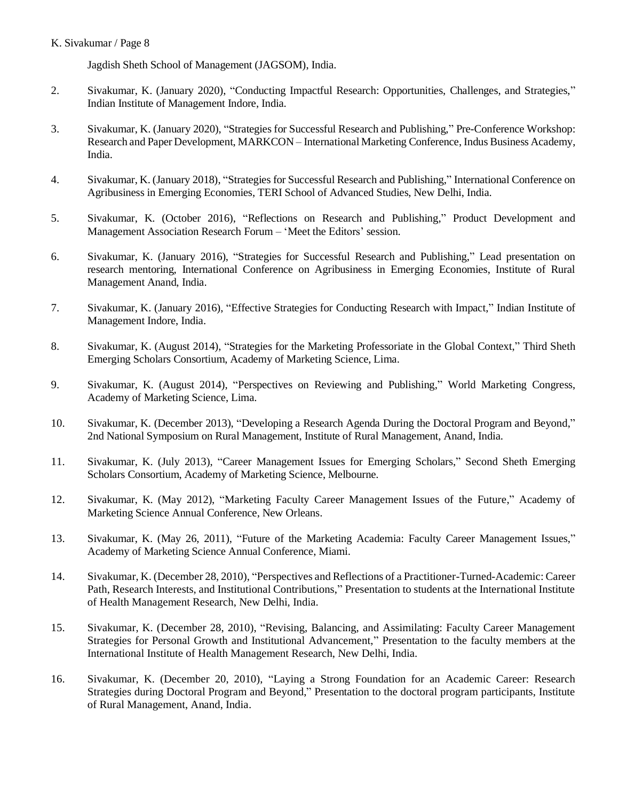Jagdish Sheth School of Management (JAGSOM), India.

- 2. Sivakumar, K. (January 2020), "Conducting Impactful Research: Opportunities, Challenges, and Strategies," Indian Institute of Management Indore, India.
- 3. Sivakumar, K. (January 2020), "Strategies for Successful Research and Publishing," Pre-Conference Workshop: Research and Paper Development, MARKCON – International Marketing Conference, Indus Business Academy, India.
- 4. Sivakumar, K. (January 2018), "Strategies for Successful Research and Publishing," International Conference on Agribusiness in Emerging Economies, TERI School of Advanced Studies, New Delhi, India.
- 5. Sivakumar, K. (October 2016), "Reflections on Research and Publishing," Product Development and Management Association Research Forum – 'Meet the Editors' session.
- 6. Sivakumar, K. (January 2016), "Strategies for Successful Research and Publishing," Lead presentation on research mentoring, International Conference on Agribusiness in Emerging Economies, Institute of Rural Management Anand, India.
- 7. Sivakumar, K. (January 2016), "Effective Strategies for Conducting Research with Impact," Indian Institute of Management Indore, India.
- 8. Sivakumar, K. (August 2014), "Strategies for the Marketing Professoriate in the Global Context," Third Sheth Emerging Scholars Consortium, Academy of Marketing Science, Lima.
- 9. Sivakumar, K. (August 2014), "Perspectives on Reviewing and Publishing," World Marketing Congress, Academy of Marketing Science, Lima.
- 10. Sivakumar, K. (December 2013), "Developing a Research Agenda During the Doctoral Program and Beyond," 2nd National Symposium on Rural Management, Institute of Rural Management, Anand, India.
- 11. Sivakumar, K. (July 2013), "Career Management Issues for Emerging Scholars," Second Sheth Emerging Scholars Consortium, Academy of Marketing Science, Melbourne.
- 12. Sivakumar, K. (May 2012), "Marketing Faculty Career Management Issues of the Future," Academy of Marketing Science Annual Conference, New Orleans.
- 13. Sivakumar, K. (May 26, 2011), "Future of the Marketing Academia: Faculty Career Management Issues," Academy of Marketing Science Annual Conference, Miami.
- 14. Sivakumar, K. (December 28, 2010), "Perspectives and Reflections of a Practitioner-Turned-Academic: Career Path, Research Interests, and Institutional Contributions," Presentation to students at the International Institute of Health Management Research, New Delhi, India.
- 15. Sivakumar, K. (December 28, 2010), "Revising, Balancing, and Assimilating: Faculty Career Management Strategies for Personal Growth and Institutional Advancement," Presentation to the faculty members at the International Institute of Health Management Research, New Delhi, India.
- 16. Sivakumar, K. (December 20, 2010), "Laying a Strong Foundation for an Academic Career: Research Strategies during Doctoral Program and Beyond," Presentation to the doctoral program participants, Institute of Rural Management, Anand, India.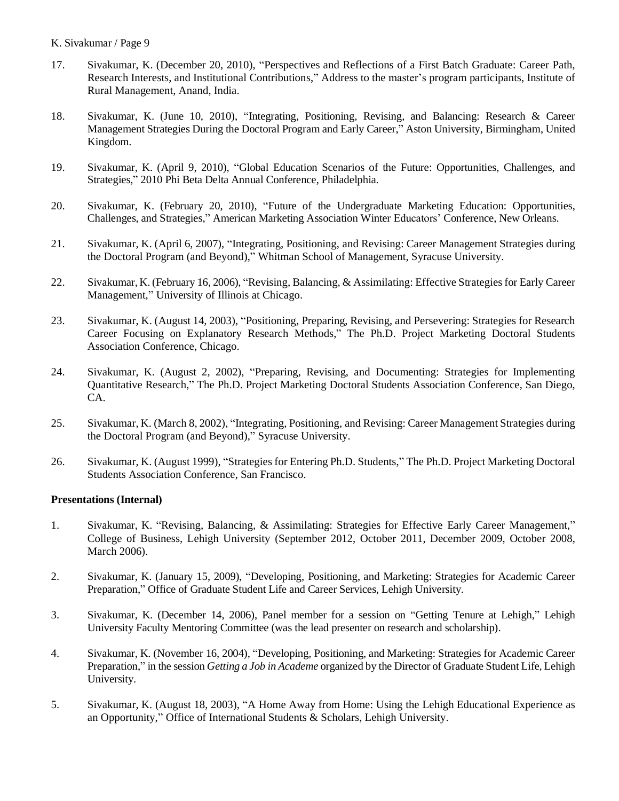- 17. Sivakumar, K. (December 20, 2010), "Perspectives and Reflections of a First Batch Graduate: Career Path, Research Interests, and Institutional Contributions," Address to the master's program participants, Institute of Rural Management, Anand, India.
- 18. Sivakumar, K. (June 10, 2010), "Integrating, Positioning, Revising, and Balancing: Research & Career Management Strategies During the Doctoral Program and Early Career," Aston University, Birmingham, United Kingdom.
- 19. Sivakumar, K. (April 9, 2010), "Global Education Scenarios of the Future: Opportunities, Challenges, and Strategies," 2010 Phi Beta Delta Annual Conference, Philadelphia.
- 20. Sivakumar, K. (February 20, 2010), "Future of the Undergraduate Marketing Education: Opportunities, Challenges, and Strategies," American Marketing Association Winter Educators' Conference, New Orleans.
- 21. Sivakumar, K. (April 6, 2007), "Integrating, Positioning, and Revising: Career Management Strategies during the Doctoral Program (and Beyond)," Whitman School of Management, Syracuse University.
- 22. Sivakumar, K. (February 16, 2006), "Revising, Balancing, & Assimilating: Effective Strategies for Early Career Management," University of Illinois at Chicago.
- 23. Sivakumar, K. (August 14, 2003), "Positioning, Preparing, Revising, and Persevering: Strategies for Research Career Focusing on Explanatory Research Methods," The Ph.D. Project Marketing Doctoral Students Association Conference, Chicago.
- 24. Sivakumar, K. (August 2, 2002), "Preparing, Revising, and Documenting: Strategies for Implementing Quantitative Research," The Ph.D. Project Marketing Doctoral Students Association Conference, San Diego, CA.
- 25. Sivakumar, K. (March 8, 2002), "Integrating, Positioning, and Revising: Career Management Strategies during the Doctoral Program (and Beyond)," Syracuse University.
- 26. Sivakumar, K. (August 1999), "Strategies for Entering Ph.D. Students," The Ph.D. Project Marketing Doctoral Students Association Conference, San Francisco.

### **Presentations (Internal)**

- 1. Sivakumar, K. "Revising, Balancing, & Assimilating: Strategies for Effective Early Career Management," College of Business, Lehigh University (September 2012, October 2011, December 2009, October 2008, March 2006).
- 2. Sivakumar, K. (January 15, 2009), "Developing, Positioning, and Marketing: Strategies for Academic Career Preparation," Office of Graduate Student Life and Career Services, Lehigh University.
- 3. Sivakumar, K. (December 14, 2006), Panel member for a session on "Getting Tenure at Lehigh," Lehigh University Faculty Mentoring Committee (was the lead presenter on research and scholarship).
- 4. Sivakumar, K. (November 16, 2004), "Developing, Positioning, and Marketing: Strategies for Academic Career Preparation," in the session *Getting a Job in Academe* organized by the Director of Graduate Student Life, Lehigh University.
- 5. Sivakumar, K. (August 18, 2003), "A Home Away from Home: Using the Lehigh Educational Experience as an Opportunity," Office of International Students & Scholars, Lehigh University.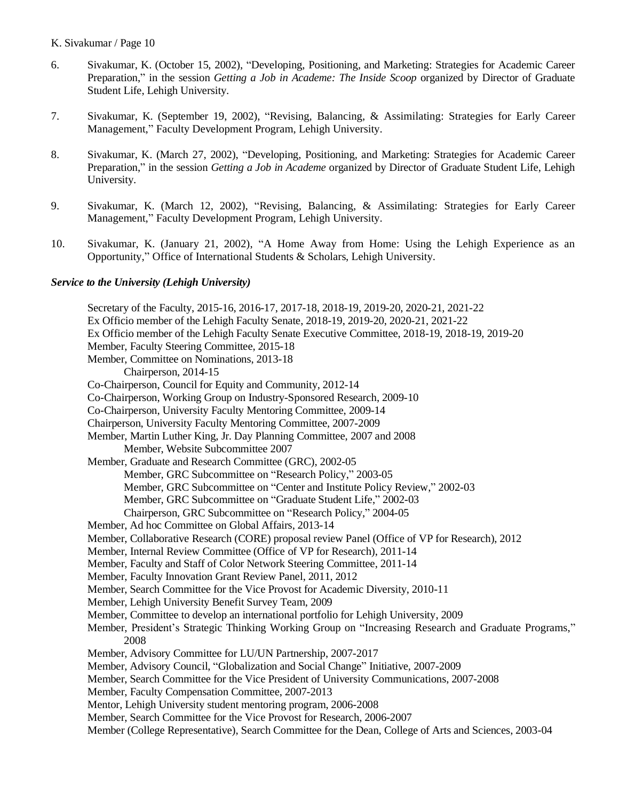- 6. Sivakumar, K. (October 15, 2002), "Developing, Positioning, and Marketing: Strategies for Academic Career Preparation," in the session *Getting a Job in Academe: The Inside Scoop* organized by Director of Graduate Student Life, Lehigh University.
- 7. Sivakumar, K. (September 19, 2002), "Revising, Balancing, & Assimilating: Strategies for Early Career Management," Faculty Development Program, Lehigh University.
- 8. Sivakumar, K. (March 27, 2002), "Developing, Positioning, and Marketing: Strategies for Academic Career Preparation," in the session *Getting a Job in Academe* organized by Director of Graduate Student Life, Lehigh University.
- 9. Sivakumar, K. (March 12, 2002), "Revising, Balancing, & Assimilating: Strategies for Early Career Management," Faculty Development Program, Lehigh University.
- 10. Sivakumar, K. (January 21, 2002), "A Home Away from Home: Using the Lehigh Experience as an Opportunity," Office of International Students & Scholars, Lehigh University.

#### *Service to the University (Lehigh University)*

Secretary of the Faculty, 2015-16, 2016-17, 2017-18, 2018-19, 2019-20, 2020-21, 2021-22 Ex Officio member of the Lehigh Faculty Senate, 2018-19, 2019-20, 2020-21, 2021-22 Ex Officio member of the Lehigh Faculty Senate Executive Committee, 2018-19, 2018-19, 2019-20 Member, Faculty Steering Committee, 2015-18 Member, Committee on Nominations, 2013-18 Chairperson, 2014-15 Co-Chairperson, Council for Equity and Community, 2012-14 Co-Chairperson, Working Group on Industry-Sponsored Research, 2009-10 Co-Chairperson, University Faculty Mentoring Committee, 2009-14 Chairperson, University Faculty Mentoring Committee, 2007-2009 Member, Martin Luther King, Jr. Day Planning Committee, 2007 and 2008 Member, Website Subcommittee 2007 Member, Graduate and Research Committee (GRC), 2002-05 Member, GRC Subcommittee on "Research Policy," 2003-05 Member, GRC Subcommittee on "Center and Institute Policy Review," 2002-03 Member, GRC Subcommittee on "Graduate Student Life," 2002-03 Chairperson, GRC Subcommittee on "Research Policy," 2004-05 Member, Ad hoc Committee on Global Affairs, 2013-14 Member, Collaborative Research (CORE) proposal review Panel (Office of VP for Research), 2012 Member, Internal Review Committee (Office of VP for Research), 2011-14 Member, Faculty and Staff of Color Network Steering Committee, 2011-14 Member, Faculty Innovation Grant Review Panel, 2011, 2012 Member, Search Committee for the Vice Provost for Academic Diversity, 2010-11 Member, Lehigh University Benefit Survey Team, 2009 Member, Committee to develop an international portfolio for Lehigh University, 2009 Member, President's Strategic Thinking Working Group on "Increasing Research and Graduate Programs," 2008 Member, Advisory Committee for LU/UN Partnership, 2007-2017 Member, Advisory Council, "Globalization and Social Change" Initiative, 2007-2009 Member, Search Committee for the Vice President of University Communications, 2007-2008 Member, Faculty Compensation Committee, 2007-2013 Mentor, Lehigh University student mentoring program, 2006-2008 Member, Search Committee for the Vice Provost for Research, 2006-2007 Member (College Representative), Search Committee for the Dean, College of Arts and Sciences, 2003-04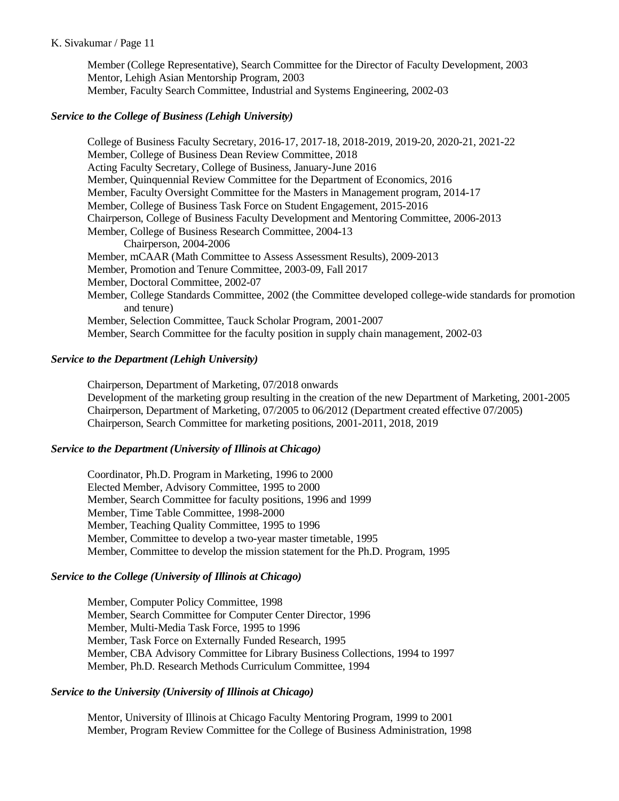Member (College Representative), Search Committee for the Director of Faculty Development, 2003 Mentor, Lehigh Asian Mentorship Program, 2003 Member, Faculty Search Committee, Industrial and Systems Engineering, 2002-03

### *Service to the College of Business (Lehigh University)*

College of Business Faculty Secretary, 2016-17, 2017-18, 2018-2019, 2019-20, 2020-21, 2021-22 Member, College of Business Dean Review Committee, 2018 Acting Faculty Secretary, College of Business, January-June 2016 Member, Quinquennial Review Committee for the Department of Economics, 2016 Member, Faculty Oversight Committee for the Masters in Management program, 2014-17 Member, College of Business Task Force on Student Engagement, 2015-2016 Chairperson, College of Business Faculty Development and Mentoring Committee, 2006-2013 Member, College of Business Research Committee, 2004-13 Chairperson, 2004-2006 Member, mCAAR (Math Committee to Assess Assessment Results), 2009-2013 Member, Promotion and Tenure Committee, 2003-09, Fall 2017 Member, Doctoral Committee, 2002-07 Member, College Standards Committee, 2002 (the Committee developed college-wide standards for promotion and tenure) Member, Selection Committee, Tauck Scholar Program, 2001-2007 Member, Search Committee for the faculty position in supply chain management, 2002-03

#### *Service to the Department (Lehigh University)*

Chairperson, Department of Marketing, 07/2018 onwards Development of the marketing group resulting in the creation of the new Department of Marketing, 2001-2005 Chairperson, Department of Marketing, 07/2005 to 06/2012 (Department created effective 07/2005) Chairperson, Search Committee for marketing positions, 2001-2011, 2018, 2019

### *Service to the Department (University of Illinois at Chicago)*

Coordinator, Ph.D. Program in Marketing, 1996 to 2000 Elected Member, Advisory Committee, 1995 to 2000 Member, Search Committee for faculty positions, 1996 and 1999 Member, Time Table Committee, 1998-2000 Member, Teaching Quality Committee, 1995 to 1996 Member, Committee to develop a two-year master timetable, 1995 Member, Committee to develop the mission statement for the Ph.D. Program, 1995

### *Service to the College (University of Illinois at Chicago)*

Member, Computer Policy Committee, 1998 Member, Search Committee for Computer Center Director, 1996 Member, Multi-Media Task Force, 1995 to 1996 Member, Task Force on Externally Funded Research, 1995 Member, CBA Advisory Committee for Library Business Collections, 1994 to 1997 Member, Ph.D. Research Methods Curriculum Committee, 1994

#### *Service to the University (University of Illinois at Chicago)*

Mentor, University of Illinois at Chicago Faculty Mentoring Program, 1999 to 2001 Member, Program Review Committee for the College of Business Administration, 1998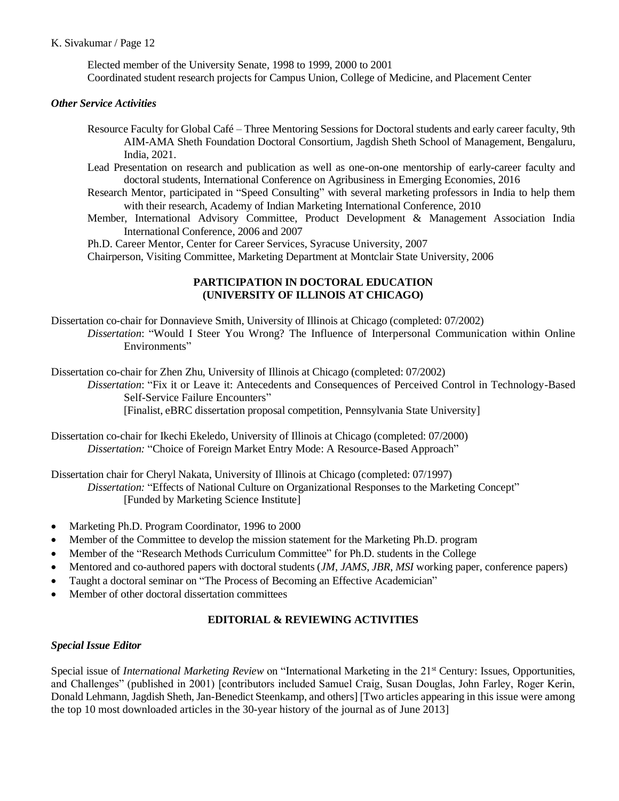Elected member of the University Senate, 1998 to 1999, 2000 to 2001 Coordinated student research projects for Campus Union, College of Medicine, and Placement Center

## *Other Service Activities*

- Resource Faculty for Global Café Three Mentoring Sessions for Doctoral students and early career faculty, 9th AIM-AMA Sheth Foundation Doctoral Consortium, Jagdish Sheth School of Management, Bengaluru, India, 2021.
- Lead Presentation on research and publication as well as one-on-one mentorship of early-career faculty and doctoral students, International Conference on Agribusiness in Emerging Economies, 2016
- Research Mentor, participated in "Speed Consulting" with several marketing professors in India to help them with their research, Academy of Indian Marketing International Conference, 2010
- Member, International Advisory Committee, Product Development & Management Association India International Conference, 2006 and 2007

Ph.D. Career Mentor, Center for Career Services, Syracuse University, 2007

Chairperson, Visiting Committee, Marketing Department at Montclair State University, 2006

## **PARTICIPATION IN DOCTORAL EDUCATION (UNIVERSITY OF ILLINOIS AT CHICAGO)**

Dissertation co-chair for Donnavieve Smith, University of Illinois at Chicago (completed: 07/2002) *Dissertation*: "Would I Steer You Wrong? The Influence of Interpersonal Communication within Online Environments"

Dissertation co-chair for Zhen Zhu, University of Illinois at Chicago (completed: 07/2002)

*Dissertation*: "Fix it or Leave it: Antecedents and Consequences of Perceived Control in Technology-Based Self-Service Failure Encounters" [Finalist, eBRC dissertation proposal competition, Pennsylvania State University]

Dissertation co-chair for Ikechi Ekeledo, University of Illinois at Chicago (completed: 07/2000) *Dissertation:* "Choice of Foreign Market Entry Mode: A Resource-Based Approach"

Dissertation chair for Cheryl Nakata, University of Illinois at Chicago (completed: 07/1997) *Dissertation:* "Effects of National Culture on Organizational Responses to the Marketing Concept" [Funded by Marketing Science Institute]

- Marketing Ph.D. Program Coordinator, 1996 to 2000
- Member of the Committee to develop the mission statement for the Marketing Ph.D. program
- Member of the "Research Methods Curriculum Committee" for Ph.D. students in the College
- Mentored and co-authored papers with doctoral students (*JM*, *JAMS*, *JBR*, *MSI* working paper, conference papers)
- Taught a doctoral seminar on "The Process of Becoming an Effective Academician"
- Member of other doctoral dissertation committees

## **EDITORIAL & REVIEWING ACTIVITIES**

## *Special Issue Editor*

Special issue of *International Marketing Review* on "International Marketing in the 21<sup>st</sup> Century: Issues, Opportunities, and Challenges" (published in 2001) [contributors included Samuel Craig, Susan Douglas, John Farley, Roger Kerin, Donald Lehmann, Jagdish Sheth, Jan-Benedict Steenkamp, and others] [Two articles appearing in this issue were among the top 10 most downloaded articles in the 30-year history of the journal as of June 2013]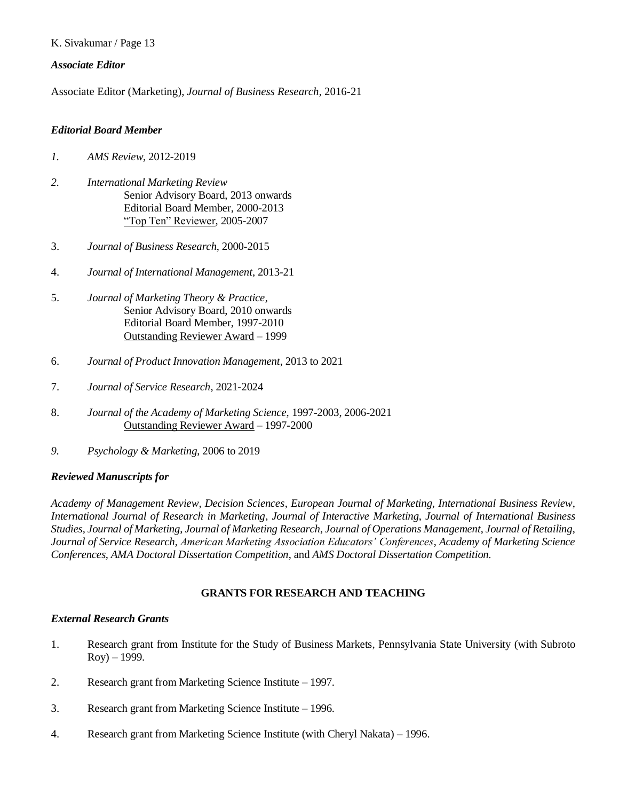### *Associate Editor*

Associate Editor (Marketing), *Journal of Business Research*, 2016-21

### *Editorial Board Member*

- *1. AMS Review*, 2012-2019
- *2. International Marketing Review* Senior Advisory Board, 2013 onwards Editorial Board Member, 2000-2013 "Top Ten" Reviewer, 2005-2007
- 3. *Journal of Business Research*, 2000-2015
- 4. *Journal of International Management*, 2013-21
- 5. *Journal of Marketing Theory & Practice*, Senior Advisory Board, 2010 onwards Editorial Board Member, 1997-2010 Outstanding Reviewer Award – 1999
- 6. *Journal of Product Innovation Management*, 2013 to 2021
- 7. *Journal of Service Research*, 2021-2024
- 8. *Journal of the Academy of Marketing Science*, 1997-2003, 2006-2021 Outstanding Reviewer Award – 1997-2000
- *9. Psychology & Marketing*, 2006 to 2019

### *Reviewed Manuscripts for*

*Academy of Management Review, Decision Sciences*, *European Journal of Marketing*, *International Business Review*, *International Journal of Research in Marketing*, *Journal of Interactive Marketing*, *Journal of International Business Studies, Journal of Marketing*, *Journal of Marketing Research*, *Journal of Operations Management*, *Journal of Retailing*, *Journal of Service Research*, *American Marketing Association Educators' Conferences*, *Academy of Marketing Science Conferences, AMA Doctoral Dissertation Competition*, and *AMS Doctoral Dissertation Competition.*

### **GRANTS FOR RESEARCH AND TEACHING**

### *External Research Grants*

- 1. Research grant from Institute for the Study of Business Markets, Pennsylvania State University (with Subroto  $Roy) - 1999.$
- 2. Research grant from Marketing Science Institute 1997.
- 3. Research grant from Marketing Science Institute 1996.
- 4. Research grant from Marketing Science Institute (with Cheryl Nakata) 1996.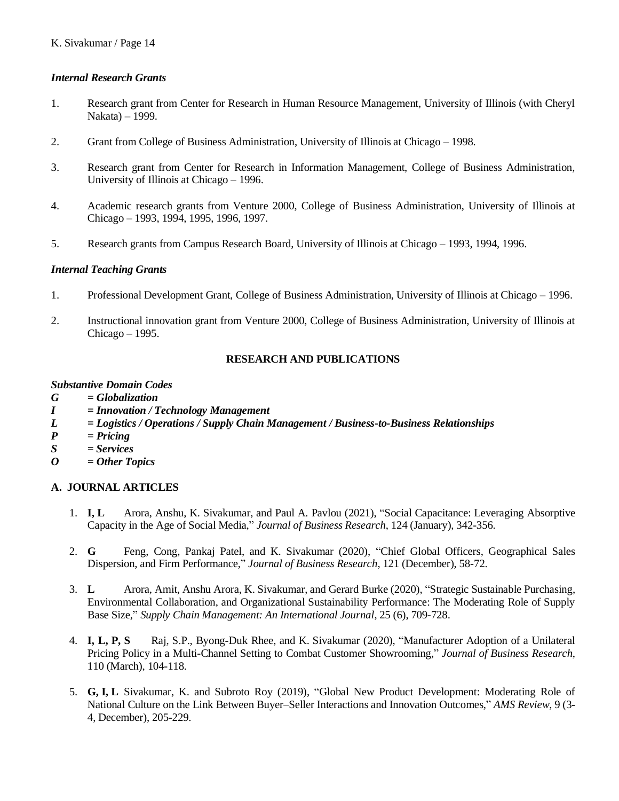## *Internal Research Grants*

- 1. Research grant from Center for Research in Human Resource Management, University of Illinois (with Cheryl Nakata) – 1999.
- 2. Grant from College of Business Administration, University of Illinois at Chicago 1998.
- 3. Research grant from Center for Research in Information Management, College of Business Administration, University of Illinois at Chicago – 1996.
- 4. Academic research grants from Venture 2000, College of Business Administration, University of Illinois at Chicago – 1993, 1994, 1995, 1996, 1997.
- 5. Research grants from Campus Research Board, University of Illinois at Chicago 1993, 1994, 1996.

## *Internal Teaching Grants*

- 1. Professional Development Grant, College of Business Administration, University of Illinois at Chicago 1996.
- 2. Instructional innovation grant from Venture 2000, College of Business Administration, University of Illinois at Chicago – 1995.

## **RESEARCH AND PUBLICATIONS**

### *Substantive Domain Codes*

- *G = Globalization*
- *I = Innovation / Technology Management*
- *L = Logistics / Operations / Supply Chain Management / Business-to-Business Relationships*
- *P = Pricing*
- *S = Services*
- *O = Other Topics*

## **A. JOURNAL ARTICLES**

- 1. **I, L** Arora, Anshu, K. Sivakumar, and Paul A. Pavlou (2021), "Social Capacitance: Leveraging Absorptive Capacity in the Age of Social Media," *Journal of Business Research*, 124 (January), 342-356.
- 2. **G** Feng, Cong, Pankaj Patel, and K. Sivakumar (2020), "Chief Global Officers, Geographical Sales Dispersion, and Firm Performance," *Journal of Business Research*, 121 (December), 58-72.
- 3. **L** Arora, Amit, Anshu Arora, K. Sivakumar, and Gerard Burke (2020), "Strategic Sustainable Purchasing, Environmental Collaboration, and Organizational Sustainability Performance: The Moderating Role of Supply Base Size," *Supply Chain Management: An International Journal*, 25 (6), 709-728.
- 4. **I, L, P, S** Raj, S.P., Byong-Duk Rhee, and K. Sivakumar (2020), "Manufacturer Adoption of a Unilateral Pricing Policy in a Multi-Channel Setting to Combat Customer Showrooming," *Journal of Business Research*, 110 (March), 104-118.
- 5. **G, I, L** Sivakumar, K. and Subroto Roy (2019), "Global New Product Development: Moderating Role of National Culture on the Link Between Buyer–Seller Interactions and Innovation Outcomes," *AMS Review*, 9 (3- 4, December), 205-229.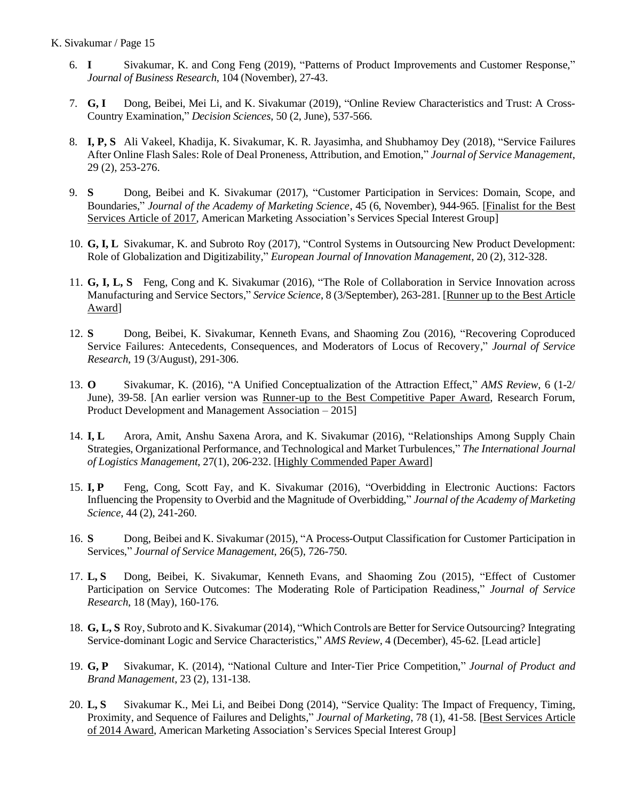- 6. **I** Sivakumar, K. and Cong Feng (2019), "Patterns of Product Improvements and Customer Response," *Journal of Business Research*, 104 (November), 27-43.
- 7. **G, I** Dong, Beibei, Mei Li, and K. Sivakumar (2019), "Online Review Characteristics and Trust: A Cross-Country Examination," *Decision Sciences*, 50 (2, June), 537-566.
- 8. **I, P, S** Ali Vakeel, Khadija, K. Sivakumar, K. R. Jayasimha, and Shubhamoy Dey (2018), "Service Failures After Online Flash Sales: Role of Deal Proneness, Attribution, and Emotion," *Journal of Service Management*, 29 (2), 253-276.
- 9. **S** Dong, Beibei and K. Sivakumar (2017), "Customer Participation in Services: Domain, Scope, and Boundaries," *Journal of the Academy of Marketing Science*, 45 (6, November), 944-965. [Finalist for the Best Services Article of 2017, American Marketing Association's Services Special Interest Group]
- 10. **G, I, L** Sivakumar, K. and Subroto Roy (2017), "Control Systems in Outsourcing New Product Development: Role of Globalization and Digitizability," *European Journal of Innovation Management*, 20 (2), 312-328.
- 11. **G, I, L, S** Feng, Cong and K. Sivakumar (2016), "The Role of Collaboration in Service Innovation across Manufacturing and Service Sectors," *Service Science*, 8 (3/September), 263-281. [Runner up to the Best Article Award]
- 12. **S** Dong, Beibei, K. Sivakumar, Kenneth Evans, and Shaoming Zou (2016), "Recovering Coproduced Service Failures: Antecedents, Consequences, and Moderators of Locus of Recovery," *Journal of Service Research*, 19 (3/August), 291-306.
- 13. **O** Sivakumar, K. (2016), "A Unified Conceptualization of the Attraction Effect," *AMS Review*, 6 (1-2/ June), 39-58. [An earlier version was Runner-up to the Best Competitive Paper Award, Research Forum, Product Development and Management Association – 2015]
- 14. **I, L** Arora, Amit, Anshu Saxena Arora, and K. Sivakumar (2016), "Relationships Among Supply Chain Strategies, Organizational Performance, and Technological and Market Turbulences," *The International Journal of Logistics Management*, 27(1), 206-232. [Highly Commended Paper Award]
- 15. **I, P** Feng, Cong, Scott Fay, and K. Sivakumar (2016), "Overbidding in Electronic Auctions: Factors Influencing the Propensity to Overbid and the Magnitude of Overbidding," *Journal of the Academy of Marketing Science*, 44 (2), 241-260.
- 16. **S** Dong, Beibei and K. Sivakumar (2015), "A Process-Output Classification for Customer Participation in Services," *Journal of Service Management*, 26(5), 726-750.
- 17. **L, S** Dong, Beibei, K. Sivakumar, Kenneth Evans, and Shaoming Zou (2015), "Effect of Customer Participation on Service Outcomes: The Moderating Role of Participation Readiness," *Journal of Service Research*, 18 (May), 160-176.
- 18. **G, L, S** Roy, Subroto and K. Sivakumar (2014), "Which Controls are Better for Service Outsourcing? Integrating Service-dominant Logic and Service Characteristics," *AMS Review*, 4 (December), 45-62. [Lead article]
- 19. **G, P** Sivakumar, K. (2014), "National Culture and Inter-Tier Price Competition," *Journal of Product and Brand Management*, 23 (2), 131-138.
- 20. **L, S** Sivakumar K., Mei Li, and Beibei Dong (2014), "Service Quality: The Impact of Frequency, Timing, Proximity, and Sequence of Failures and Delights," *Journal of Marketing*, 78 (1), 41-58. [Best Services Article of 2014 Award, American Marketing Association's Services Special Interest Group]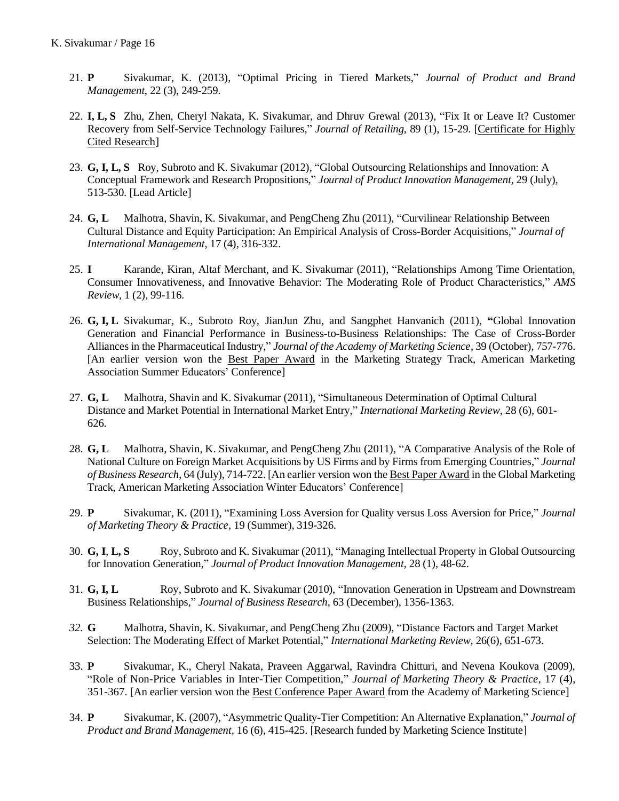- 21. **P** Sivakumar, K. (2013), "Optimal Pricing in Tiered Markets," *Journal of Product and Brand Management*, 22 (3), 249-259.
- 22. **I, L, S** Zhu, Zhen, Cheryl Nakata, K. Sivakumar, and Dhruv Grewal (2013), "Fix It or Leave It? Customer Recovery from Self-Service Technology Failures," *Journal of Retailing*, 89 (1), 15-29. [Certificate for Highly Cited Research]
- 23. **G, I, L, S** Roy, Subroto and K. Sivakumar (2012), "Global Outsourcing Relationships and Innovation: A Conceptual Framework and Research Propositions," *Journal of Product Innovation Management*, 29 (July), 513-530. [Lead Article]
- 24. **G, L** Malhotra, Shavin, K. Sivakumar, and PengCheng Zhu (2011), "Curvilinear Relationship Between Cultural Distance and Equity Participation: An Empirical Analysis of Cross-Border Acquisitions," *Journal of International Management*, 17 (4), 316-332.
- 25. **I** Karande, Kiran, Altaf Merchant, and K. Sivakumar (2011), "Relationships Among Time Orientation, Consumer Innovativeness, and Innovative Behavior: The Moderating Role of Product Characteristics," *AMS Review*, 1 (2), 99-116.
- 26. **G, I, L** Sivakumar, K., Subroto Roy, JianJun Zhu, and Sangphet Hanvanich (2011), **"**Global Innovation Generation and Financial Performance in Business-to-Business Relationships: The Case of Cross-Border Alliances in the Pharmaceutical Industry," *Journal of the Academy of Marketing Science*, 39 (October), 757-776. [An earlier version won the Best Paper Award in the Marketing Strategy Track, American Marketing Association Summer Educators' Conference]
- 27. **G, L** Malhotra, Shavin and K. Sivakumar (2011), "Simultaneous Determination of Optimal Cultural Distance and Market Potential in International Market Entry," *International Marketing Review*, 28 (6), 601- 626.
- 28. **G, L** Malhotra, Shavin, K. Sivakumar, and PengCheng Zhu (2011), "A Comparative Analysis of the Role of National Culture on Foreign Market Acquisitions by US Firms and by Firms from Emerging Countries," *Journal of Business Research*, 64 (July), 714-722. [An earlier version won the Best Paper Award in the Global Marketing Track, American Marketing Association Winter Educators' Conference]
- 29. **P** Sivakumar, K. (2011), "Examining Loss Aversion for Quality versus Loss Aversion for Price," *Journal of Marketing Theory & Practice*, 19 (Summer), 319-326.
- 30. **G, I**, **L, S** Roy, Subroto and K. Sivakumar (2011), "Managing Intellectual Property in Global Outsourcing for Innovation Generation," *Journal of Product Innovation Management*, 28 (1), 48-62.
- 31. **G, I, L** Roy, Subroto and K. Sivakumar (2010), "Innovation Generation in Upstream and Downstream Business Relationships," *Journal of Business Research*, 63 (December), 1356-1363.
- *32.* **G** Malhotra, Shavin, K. Sivakumar, and PengCheng Zhu (2009), "Distance Factors and Target Market Selection: The Moderating Effect of Market Potential," *International Marketing Review*, 26(6), 651-673.
- 33. **P** Sivakumar, K., Cheryl Nakata, Praveen Aggarwal, Ravindra Chitturi, and Nevena Koukova (2009), "Role of Non-Price Variables in Inter-Tier Competition," *Journal of Marketing Theory & Practice*, 17 (4), 351-367. [An earlier version won the Best Conference Paper Award from the Academy of Marketing Science]
- 34. **P** Sivakumar, K. (2007), "Asymmetric Quality-Tier Competition: An Alternative Explanation," *Journal of Product and Brand Management*, 16 (6), 415-425. [Research funded by Marketing Science Institute]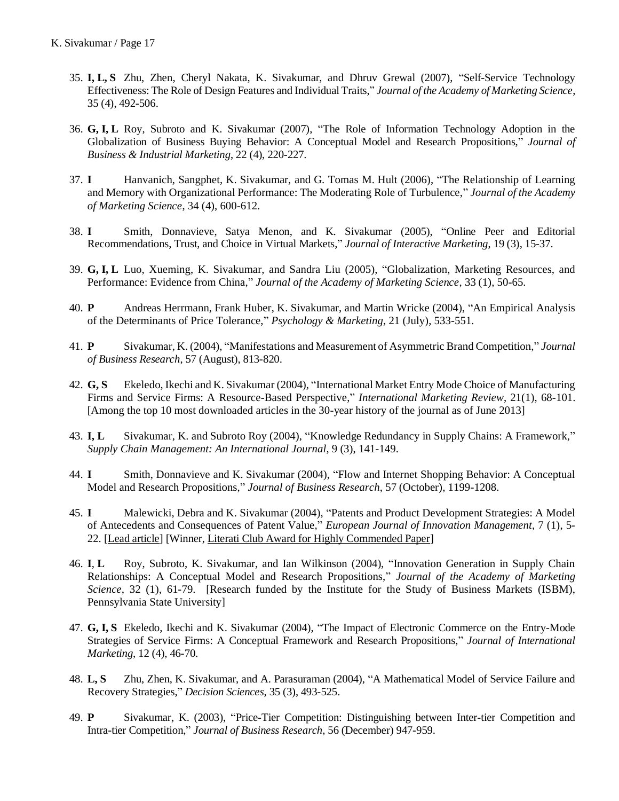- 35. **I, L, S** Zhu, Zhen, Cheryl Nakata, K. Sivakumar, and Dhruv Grewal (2007), "Self-Service Technology Effectiveness: The Role of Design Features and Individual Traits," *Journal of the Academy of Marketing Science*, 35 (4), 492-506.
- 36. **G, I, L** Roy, Subroto and K. Sivakumar (2007), "The Role of Information Technology Adoption in the Globalization of Business Buying Behavior: A Conceptual Model and Research Propositions," *Journal of Business & Industrial Marketing*, 22 (4), 220-227.
- 37. **I** Hanvanich, Sangphet, K. Sivakumar, and G. Tomas M. Hult (2006), "The Relationship of Learning and Memory with Organizational Performance: The Moderating Role of Turbulence," *Journal of the Academy of Marketing Science*, 34 (4), 600-612.
- 38. **I** Smith, Donnavieve, Satya Menon, and K. Sivakumar (2005), "Online Peer and Editorial Recommendations, Trust, and Choice in Virtual Markets," *Journal of Interactive Marketing*, 19 (3), 15-37.
- 39. **G, I, L** Luo, Xueming, K. Sivakumar, and Sandra Liu (2005), "Globalization, Marketing Resources, and Performance: Evidence from China," *Journal of the Academy of Marketing Science*, 33 (1), 50-65.
- 40. **P** Andreas Herrmann, Frank Huber, K. Sivakumar, and Martin Wricke (2004), "An Empirical Analysis of the Determinants of Price Tolerance," *Psychology & Marketing*, 21 (July), 533-551.
- 41. **P** Sivakumar, K. (2004), "Manifestations and Measurement of Asymmetric Brand Competition," *Journal of Business Research*, 57 (August), 813-820.
- 42. **G, S** Ekeledo, Ikechi and K. Sivakumar (2004), "International Market Entry Mode Choice of Manufacturing Firms and Service Firms: A Resource-Based Perspective," *International Marketing Review*, 21(1), 68-101. [Among the top 10 most downloaded articles in the 30-year history of the journal as of June 2013]
- 43. **I, L** Sivakumar, K. and Subroto Roy (2004), "Knowledge Redundancy in Supply Chains: A Framework," *Supply Chain Management: An International Journal*, 9 (3), 141-149.
- 44. **I** Smith, Donnavieve and K. Sivakumar (2004), "Flow and Internet Shopping Behavior: A Conceptual Model and Research Propositions," *Journal of Business Research*, 57 (October), 1199-1208.
- 45. **I** Malewicki, Debra and K. Sivakumar (2004), "Patents and Product Development Strategies: A Model of Antecedents and Consequences of Patent Value," *European Journal of Innovation Management*, 7 (1), 5- 22. [Lead article] [Winner, Literati Club Award for Highly Commended Paper]
- 46. **I**, **L** Roy, Subroto, K. Sivakumar, and Ian Wilkinson (2004), "Innovation Generation in Supply Chain Relationships: A Conceptual Model and Research Propositions," *Journal of the Academy of Marketing Science*, 32 (1), 61-79. [Research funded by the Institute for the Study of Business Markets (ISBM), Pennsylvania State University]
- 47. **G, I, S** Ekeledo, Ikechi and K. Sivakumar (2004), "The Impact of Electronic Commerce on the Entry-Mode Strategies of Service Firms: A Conceptual Framework and Research Propositions," *Journal of International Marketing*, 12 (4), 46-70.
- 48. **L, S** Zhu, Zhen, K. Sivakumar, and A. Parasuraman (2004), "A Mathematical Model of Service Failure and Recovery Strategies," *Decision Sciences*, 35 (3), 493-525.
- 49. **P** Sivakumar, K. (2003), "Price-Tier Competition: Distinguishing between Inter-tier Competition and Intra-tier Competition," *Journal of Business Research*, 56 (December) 947-959.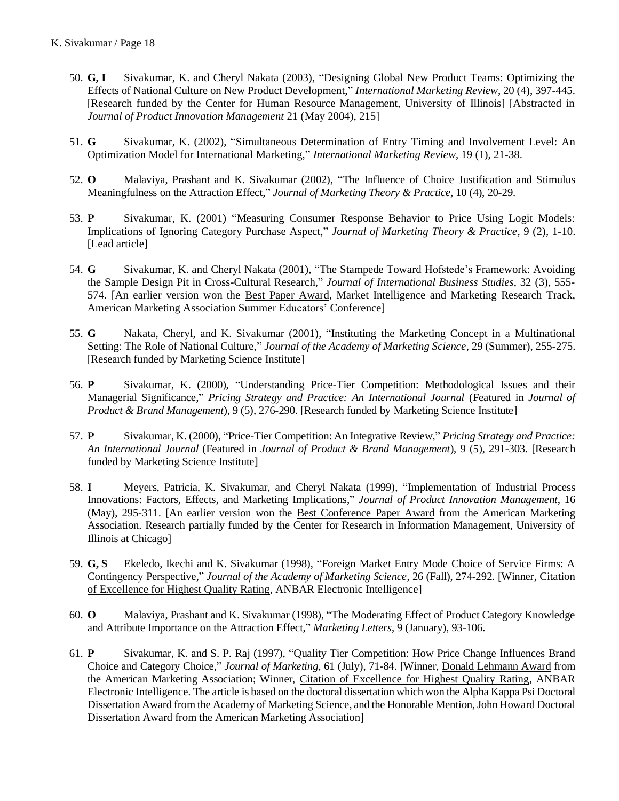- 50. **G, I** Sivakumar, K. and Cheryl Nakata (2003), "Designing Global New Product Teams: Optimizing the Effects of National Culture on New Product Development," *International Marketing Review*, 20 (4), 397-445. [Research funded by the Center for Human Resource Management, University of Illinois] [Abstracted in *Journal of Product Innovation Management* 21 (May 2004), 215]
- 51. **G** Sivakumar, K. (2002), "Simultaneous Determination of Entry Timing and Involvement Level: An Optimization Model for International Marketing," *International Marketing Review*, 19 (1), 21-38.
- 52. **O** Malaviya, Prashant and K. Sivakumar (2002), "The Influence of Choice Justification and Stimulus Meaningfulness on the Attraction Effect," *Journal of Marketing Theory & Practice*, 10 (4), 20-29.
- 53. **P** Sivakumar, K. (2001) "Measuring Consumer Response Behavior to Price Using Logit Models: Implications of Ignoring Category Purchase Aspect," *Journal of Marketing Theory & Practice*, 9 (2), 1-10. [Lead article]
- 54. **G** Sivakumar, K. and Cheryl Nakata (2001), "The Stampede Toward Hofstede's Framework: Avoiding the Sample Design Pit in Cross-Cultural Research," *Journal of International Business Studies*, 32 (3), 555- 574. [An earlier version won the Best Paper Award, Market Intelligence and Marketing Research Track, American Marketing Association Summer Educators' Conference]
- 55. **G** Nakata, Cheryl, and K. Sivakumar (2001), "Instituting the Marketing Concept in a Multinational Setting: The Role of National Culture," *Journal of the Academy of Marketing Science*, 29 (Summer), 255-275. [Research funded by Marketing Science Institute]
- 56. **P** Sivakumar, K. (2000), "Understanding Price-Tier Competition: Methodological Issues and their Managerial Significance," *Pricing Strategy and Practice: An International Journal* (Featured in *Journal of Product & Brand Management*), 9 (5), 276-290. [Research funded by Marketing Science Institute]
- 57. **P** Sivakumar, K. (2000), "Price-Tier Competition: An Integrative Review," *Pricing Strategy and Practice: An International Journal* (Featured in *Journal of Product & Brand Management*), 9 (5), 291-303. [Research funded by Marketing Science Institute]
- 58. **I** Meyers, Patricia, K. Sivakumar, and Cheryl Nakata (1999), "Implementation of Industrial Process Innovations: Factors, Effects, and Marketing Implications," *Journal of Product Innovation Management*, 16 (May), 295-311. [An earlier version won the Best Conference Paper Award from the American Marketing Association. Research partially funded by the Center for Research in Information Management, University of Illinois at Chicago]
- 59. **G, S** Ekeledo, Ikechi and K. Sivakumar (1998), "Foreign Market Entry Mode Choice of Service Firms: A Contingency Perspective," *Journal of the Academy of Marketing Science*, 26 (Fall), 274-292. [Winner, Citation of Excellence for Highest Quality Rating, ANBAR Electronic Intelligence]
- 60. **O** Malaviya, Prashant and K. Sivakumar (1998), "The Moderating Effect of Product Category Knowledge and Attribute Importance on the Attraction Effect," *Marketing Letters*, 9 (January), 93-106.
- 61. **P** Sivakumar, K. and S. P. Raj (1997), "Quality Tier Competition: How Price Change Influences Brand Choice and Category Choice," *Journal of Marketing*, 61 (July), 71-84. [Winner, Donald Lehmann Award from the American Marketing Association; Winner, Citation of Excellence for Highest Quality Rating, ANBAR Electronic Intelligence*.* The article is based on the doctoral dissertation which won the Alpha Kappa Psi Doctoral Dissertation Award from the Academy of Marketing Science, and the Honorable Mention, John Howard Doctoral Dissertation Award from the American Marketing Association]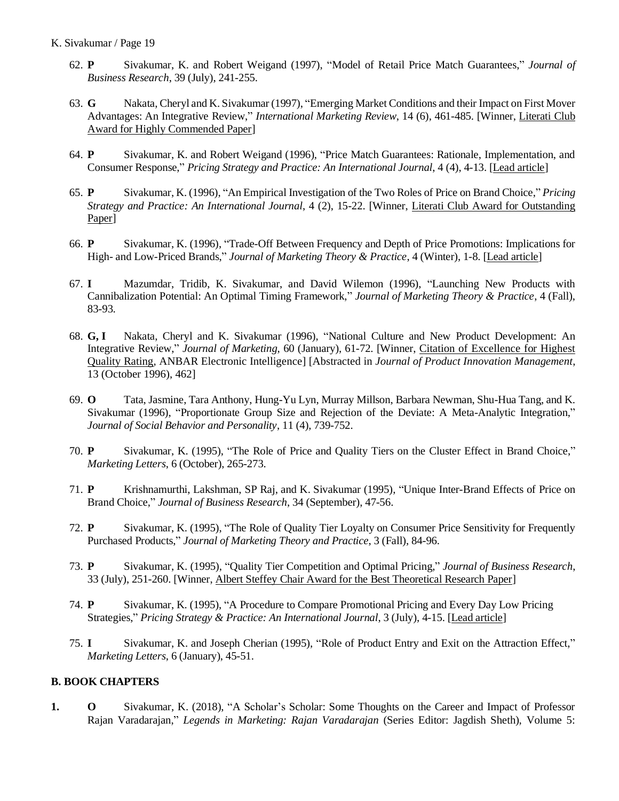- 62. **P** Sivakumar, K. and Robert Weigand (1997), "Model of Retail Price Match Guarantees," *Journal of Business Research*, 39 (July), 241-255.
- 63. **G** Nakata, Cheryl and K. Sivakumar (1997), "Emerging Market Conditions and their Impact on First Mover Advantages: An Integrative Review," *International Marketing Review*, 14 (6), 461-485. [Winner, Literati Club Award for Highly Commended Paper]
- 64. **P** Sivakumar, K. and Robert Weigand (1996), "Price Match Guarantees: Rationale, Implementation, and Consumer Response," *Pricing Strategy and Practice: An International Journal*, 4 (4), 4-13. [Lead article]
- 65. **P** Sivakumar, K. (1996), "An Empirical Investigation of the Two Roles of Price on Brand Choice," *Pricing Strategy and Practice: An International Journal*, 4 (2), 15-22. [Winner, Literati Club Award for Outstanding Paper]
- 66. **P** Sivakumar, K. (1996), "Trade-Off Between Frequency and Depth of Price Promotions: Implications for High- and Low-Priced Brands," *Journal of Marketing Theory & Practice*, 4 (Winter), 1-8. [Lead article]
- 67. **I** Mazumdar, Tridib, K. Sivakumar, and David Wilemon (1996), "Launching New Products with Cannibalization Potential: An Optimal Timing Framework," *Journal of Marketing Theory & Practice*, 4 (Fall), 83-93.
- 68. **G, I** Nakata, Cheryl and K. Sivakumar (1996), "National Culture and New Product Development: An Integrative Review," *Journal of Marketing*, 60 (January), 61-72. [Winner, Citation of Excellence for Highest Quality Rating, ANBAR Electronic Intelligence] [Abstracted in *Journal of Product Innovation Management*, 13 (October 1996), 462]
- 69. **O** Tata, Jasmine, Tara Anthony, Hung-Yu Lyn, Murray Millson, Barbara Newman, Shu-Hua Tang, and K. Sivakumar (1996), "Proportionate Group Size and Rejection of the Deviate: A Meta-Analytic Integration," *Journal of Social Behavior and Personality*, 11 (4), 739-752.
- 70. **P** Sivakumar, K. (1995), "The Role of Price and Quality Tiers on the Cluster Effect in Brand Choice," *Marketing Letters*, 6 (October), 265-273.
- 71. **P** Krishnamurthi, Lakshman, SP Raj, and K. Sivakumar (1995), "Unique Inter-Brand Effects of Price on Brand Choice," *Journal of Business Research*, 34 (September), 47-56.
- 72. **P** Sivakumar, K. (1995), "The Role of Quality Tier Loyalty on Consumer Price Sensitivity for Frequently Purchased Products," *Journal of Marketing Theory and Practice*, 3 (Fall), 84-96.
- 73. **P** Sivakumar, K. (1995), "Quality Tier Competition and Optimal Pricing," *Journal of Business Research*, 33 (July), 251-260. [Winner, Albert Steffey Chair Award for the Best Theoretical Research Paper]
- 74. **P** Sivakumar, K. (1995), "A Procedure to Compare Promotional Pricing and Every Day Low Pricing Strategies," *Pricing Strategy & Practice: An International Journal*, 3 (July), 4-15. [Lead article]
- 75. **I** Sivakumar, K. and Joseph Cherian (1995), "Role of Product Entry and Exit on the Attraction Effect," *Marketing Letters*, 6 (January), 45-51.

## **B. BOOK CHAPTERS**

**1. O** Sivakumar, K. (2018), "A Scholar's Scholar: Some Thoughts on the Career and Impact of Professor Rajan Varadarajan," *Legends in Marketing: Rajan Varadarajan* (Series Editor: Jagdish Sheth), Volume 5: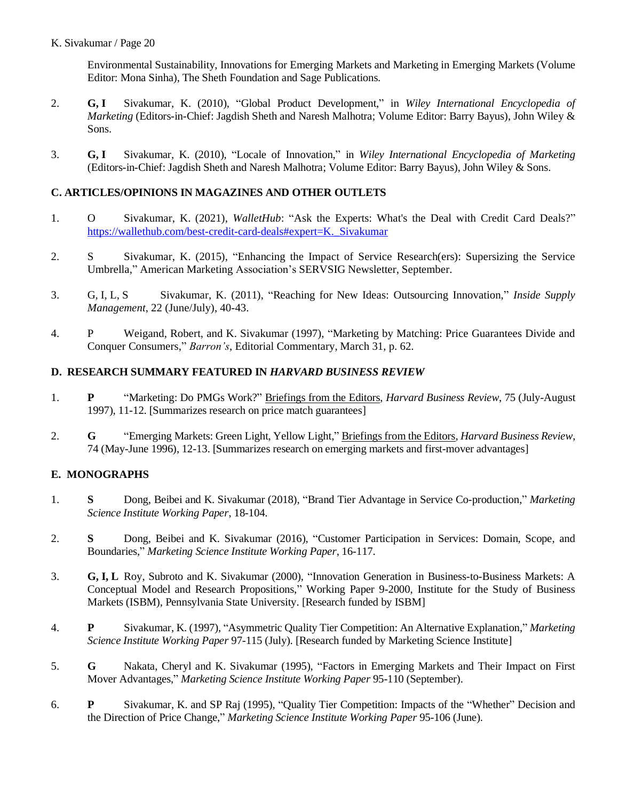Environmental Sustainability, Innovations for Emerging Markets and Marketing in Emerging Markets (Volume Editor: Mona Sinha), The Sheth Foundation and Sage Publications.

- 2. **G, I** Sivakumar, K. (2010), "Global Product Development," in *Wiley International Encyclopedia of Marketing* (Editors-in-Chief: Jagdish Sheth and Naresh Malhotra; Volume Editor: Barry Bayus), John Wiley & Sons.
- 3. **G, I** Sivakumar, K. (2010), "Locale of Innovation," in *Wiley International Encyclopedia of Marketing* (Editors-in-Chief: Jagdish Sheth and Naresh Malhotra; Volume Editor: Barry Bayus), John Wiley & Sons.

## **C. ARTICLES/OPINIONS IN MAGAZINES AND OTHER OUTLETS**

- 1. O Sivakumar, K. (2021), *WalletHub*: "Ask the Experts: What's the Deal with Credit Card Deals?" [https://wallethub.com/best-credit-card-deals#expert=K.\\_Sivakumar](https://wallethub.com/best-credit-card-deals#expert=K._Sivakumar)
- 2. S Sivakumar, K. (2015), "Enhancing the Impact of Service Research(ers): Supersizing the Service Umbrella," American Marketing Association's SERVSIG Newsletter, September.
- 3. G, I, L, S Sivakumar, K. (2011), "Reaching for New Ideas: Outsourcing Innovation," *Inside Supply Management*, 22 (June/July), 40-43.
- 4. P Weigand, Robert, and K. Sivakumar (1997), "Marketing by Matching: Price Guarantees Divide and Conquer Consumers," *Barron's*, Editorial Commentary, March 31, p. 62.

## **D. RESEARCH SUMMARY FEATURED IN** *HARVARD BUSINESS REVIEW*

- 1. **P** "Marketing: Do PMGs Work?" Briefings from the Editors, *Harvard Business Review*, 75 (July-August 1997), 11-12. [Summarizes research on price match guarantees]
- 2. **G** "Emerging Markets: Green Light, Yellow Light," Briefings from the Editors, *Harvard Business Review*, 74 (May-June 1996), 12-13. [Summarizes research on emerging markets and first-mover advantages]

## **E. MONOGRAPHS**

- 1. **S** Dong, Beibei and K. Sivakumar (2018), "Brand Tier Advantage in Service Co-production," *Marketing Science Institute Working Paper*, 18-104.
- 2. **S** Dong, Beibei and K. Sivakumar (2016), "Customer Participation in Services: Domain, Scope, and Boundaries," *Marketing Science Institute Working Paper*, 16-117.
- 3. **G, I, L** Roy, Subroto and K. Sivakumar (2000), "Innovation Generation in Business-to-Business Markets: A Conceptual Model and Research Propositions," Working Paper 9-2000, Institute for the Study of Business Markets (ISBM), Pennsylvania State University. [Research funded by ISBM]
- 4. **P** Sivakumar, K. (1997), "Asymmetric Quality Tier Competition: An Alternative Explanation," *Marketing Science Institute Working Paper* 97-115 (July). [Research funded by Marketing Science Institute]
- 5. **G** Nakata, Cheryl and K. Sivakumar (1995), "Factors in Emerging Markets and Their Impact on First Mover Advantages," *Marketing Science Institute Working Paper* 95-110 (September).
- 6. **P** Sivakumar, K. and SP Raj (1995), "Quality Tier Competition: Impacts of the "Whether" Decision and the Direction of Price Change," *Marketing Science Institute Working Paper* 95-106 (June).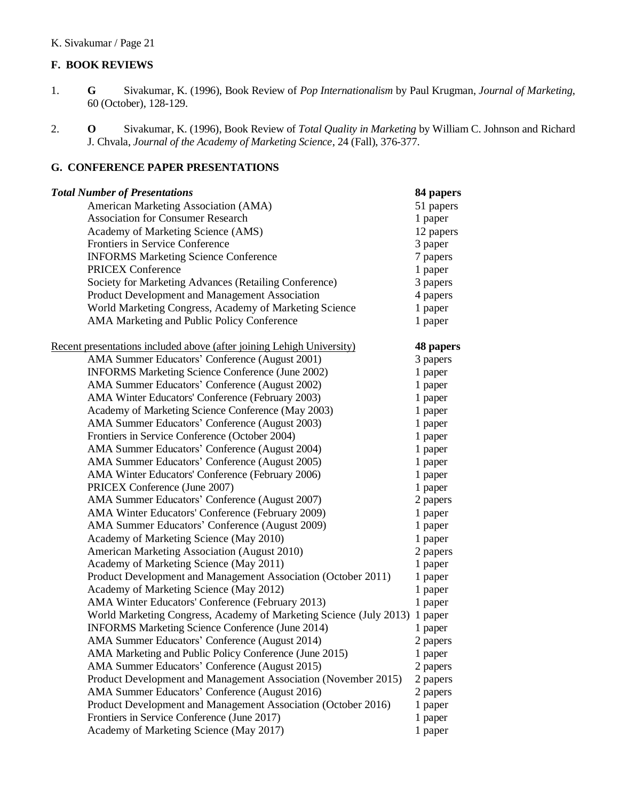# **F. BOOK REVIEWS**

- 1. **G** Sivakumar, K. (1996), Book Review of *Pop Internationalism* by Paul Krugman, *Journal of Marketing*, 60 (October), 128-129.
- 2. **O** Sivakumar, K. (1996), Book Review of *Total Quality in Marketing* by William C. Johnson and Richard J. Chvala, *Journal of the Academy of Marketing Science*, 24 (Fall), 376-377.

## **G. CONFERENCE PAPER PRESENTATIONS**

| <b>Total Number of Presentations</b>                                       | 84 papers |
|----------------------------------------------------------------------------|-----------|
| American Marketing Association (AMA)                                       | 51 papers |
| <b>Association for Consumer Research</b>                                   | 1 paper   |
| Academy of Marketing Science (AMS)                                         | 12 papers |
| Frontiers in Service Conference                                            | 3 paper   |
| <b>INFORMS Marketing Science Conference</b>                                | 7 papers  |
| <b>PRICEX Conference</b>                                                   | 1 paper   |
| Society for Marketing Advances (Retailing Conference)                      | 3 papers  |
| Product Development and Management Association                             | 4 papers  |
| World Marketing Congress, Academy of Marketing Science                     | 1 paper   |
| AMA Marketing and Public Policy Conference                                 | 1 paper   |
| Recent presentations included above (after joining Lehigh University)      | 48 papers |
| AMA Summer Educators' Conference (August 2001)                             | 3 papers  |
| <b>INFORMS Marketing Science Conference (June 2002)</b>                    | 1 paper   |
| AMA Summer Educators' Conference (August 2002)                             | 1 paper   |
| AMA Winter Educators' Conference (February 2003)                           | 1 paper   |
| Academy of Marketing Science Conference (May 2003)                         | 1 paper   |
| AMA Summer Educators' Conference (August 2003)                             | 1 paper   |
| Frontiers in Service Conference (October 2004)                             | 1 paper   |
| AMA Summer Educators' Conference (August 2004)                             | 1 paper   |
| AMA Summer Educators' Conference (August 2005)                             | 1 paper   |
| AMA Winter Educators' Conference (February 2006)                           | 1 paper   |
| PRICEX Conference (June 2007)                                              | 1 paper   |
| AMA Summer Educators' Conference (August 2007)                             | 2 papers  |
| AMA Winter Educators' Conference (February 2009)                           | 1 paper   |
| AMA Summer Educators' Conference (August 2009)                             | 1 paper   |
| Academy of Marketing Science (May 2010)                                    | 1 paper   |
| American Marketing Association (August 2010)                               | 2 papers  |
| Academy of Marketing Science (May 2011)                                    | 1 paper   |
| Product Development and Management Association (October 2011)              | 1 paper   |
| Academy of Marketing Science (May 2012)                                    | 1 paper   |
| AMA Winter Educators' Conference (February 2013)                           | 1 paper   |
| World Marketing Congress, Academy of Marketing Science (July 2013) 1 paper |           |
| <b>INFORMS Marketing Science Conference (June 2014)</b>                    | 1 paper   |
| AMA Summer Educators' Conference (August 2014)                             | 2 papers  |
| AMA Marketing and Public Policy Conference (June 2015)                     | 1 paper   |
| AMA Summer Educators' Conference (August 2015)                             | 2 papers  |
| Product Development and Management Association (November 2015)             | 2 papers  |
| AMA Summer Educators' Conference (August 2016)                             | 2 papers  |
| Product Development and Management Association (October 2016)              | 1 paper   |
| Frontiers in Service Conference (June 2017)                                | 1 paper   |
| Academy of Marketing Science (May 2017)                                    | 1 paper   |